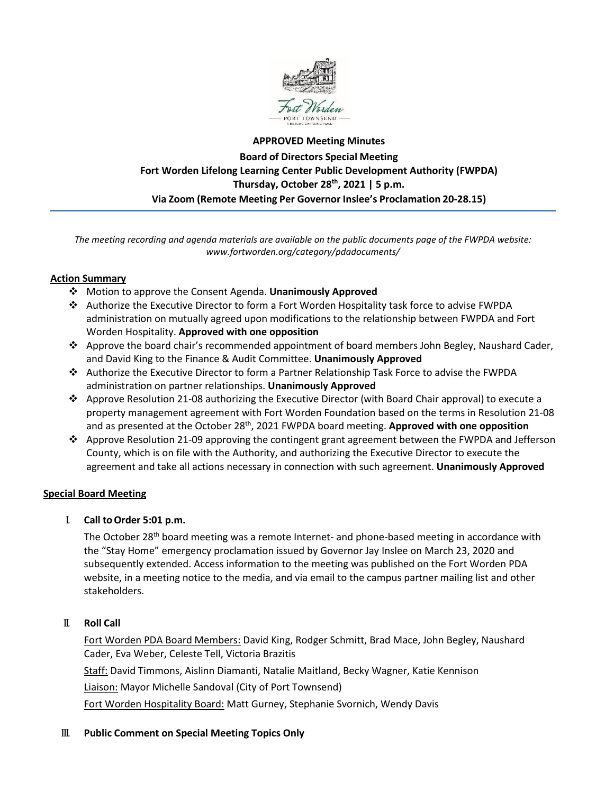

# **APPROVED Meeting Minutes Board of Directors Special Meeting Fort Worden Lifelong Learning Center Public Development Authority (FWPDA) Thursday, October 28th, 2021 | 5 p.m. Via Zoom (Remote Meeting Per Governor Inslee's Proclamation 20-28.15)**

*The meeting recording and agenda materials are available on the public documents page of the FWPDA website: www.fortworden.org/category/pdadocuments/*

## **Action Summary**

- Motion to approve the Consent Agenda. **Unanimously Approved**
- Authorize the Executive Director to form a Fort Worden Hospitality task force to advise FWPDA administration on mutually agreed upon modifications to the relationship between FWPDA and Fort Worden Hospitality. **Approved with one opposition**
- Approve the board chair's recommended appointment of board members John Begley, Naushard Cader, and David King to the Finance & Audit Committee. **Unanimously Approved**
- Authorize the Executive Director to form a Partner Relationship Task Force to advise the FWPDA administration on partner relationships. **Unanimously Approved**
- Approve Resolution 21-08 authorizing the Executive Director (with Board Chair approval) to execute a property management agreement with Fort Worden Foundation based on the terms in Resolution 21-08 and as presented at the October 28th, 2021 FWPDA board meeting. **Approved with one opposition**
- Approve Resolution 21-09 approving the contingent grant agreement between the FWPDA and Jefferson County, which is on file with the Authority, and authorizing the Executive Director to execute the agreement and take all actions necessary in connection with such agreement. **Unanimously Approved**

## **Special Board Meeting**

I. **Call toOrder 5:01 p.m.**

The October 28<sup>th</sup> board meeting was a remote Internet- and phone-based meeting in accordance with the "Stay Home" emergency proclamation issued by Governor Jay Inslee on March 23, 2020 and subsequently extended. Access information to the meeting was published on the Fort Worden PDA website, in a meeting notice to the media, and via email to the campus partner mailing list and other stakeholders.

#### II. **Roll Call**

Fort Worden PDA Board Members: David King, Rodger Schmitt, Brad Mace, John Begley, Naushard Cader, Eva Weber, Celeste Tell, Victoria Brazitis

Staff: David Timmons, Aislinn Diamanti, Natalie Maitland, Becky Wagner, Katie Kennison

Liaison: Mayor Michelle Sandoval (City of Port Townsend)

Fort Worden Hospitality Board: Matt Gurney, Stephanie Svornich, Wendy Davis

#### III. **Public Comment on Special Meeting Topics Only**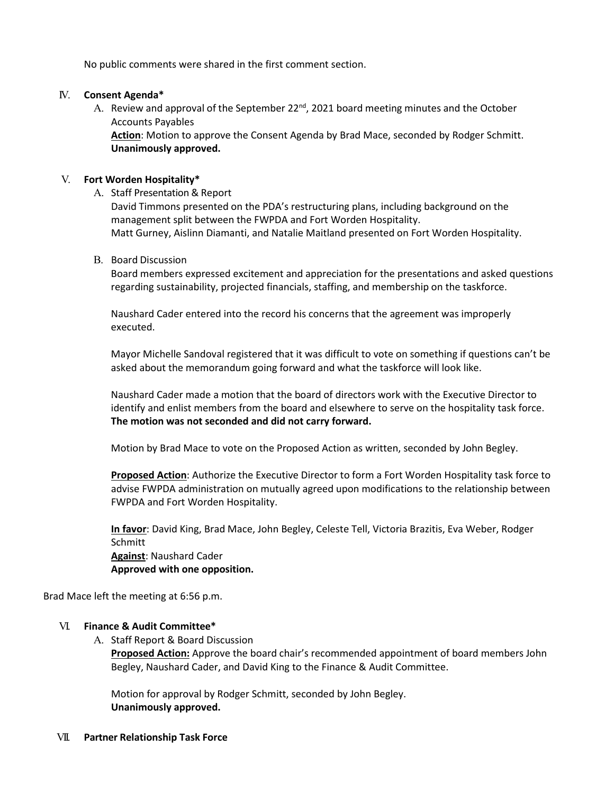No public comments were shared in the first comment section.

## IV. **Consent Agenda\***

A. Review and approval of the September  $22<sup>nd</sup>$ , 2021 board meeting minutes and the October Accounts Payables

**Action**: Motion to approve the Consent Agenda by Brad Mace, seconded by Rodger Schmitt. **Unanimously approved.**

## V. **Fort Worden Hospitality\***

A. Staff Presentation & Report

David Timmons presented on the PDA's restructuring plans, including background on the management split between the FWPDA and Fort Worden Hospitality. Matt Gurney, Aislinn Diamanti, and Natalie Maitland presented on Fort Worden Hospitality.

B. Board Discussion

Board members expressed excitement and appreciation for the presentations and asked questions regarding sustainability, projected financials, staffing, and membership on the taskforce.

Naushard Cader entered into the record his concerns that the agreement was improperly executed.

Mayor Michelle Sandoval registered that it was difficult to vote on something if questions can't be asked about the memorandum going forward and what the taskforce will look like.

Naushard Cader made a motion that the board of directors work with the Executive Director to identify and enlist members from the board and elsewhere to serve on the hospitality task force. **The motion was not seconded and did not carry forward.**

Motion by Brad Mace to vote on the Proposed Action as written, seconded by John Begley.

**Proposed Action**: Authorize the Executive Director to form a Fort Worden Hospitality task force to advise FWPDA administration on mutually agreed upon modifications to the relationship between FWPDA and Fort Worden Hospitality.

**In favor**: David King, Brad Mace, John Begley, Celeste Tell, Victoria Brazitis, Eva Weber, Rodger **Schmitt Against**: Naushard Cader **Approved with one opposition.**

Brad Mace left the meeting at 6:56 p.m.

#### VI. **Finance & Audit Committee\***

A. Staff Report & Board Discussion

**Proposed Action:** Approve the board chair's recommended appointment of board members John Begley, Naushard Cader, and David King to the Finance & Audit Committee.

Motion for approval by Rodger Schmitt, seconded by John Begley. **Unanimously approved.**

#### VII. **Partner Relationship Task Force**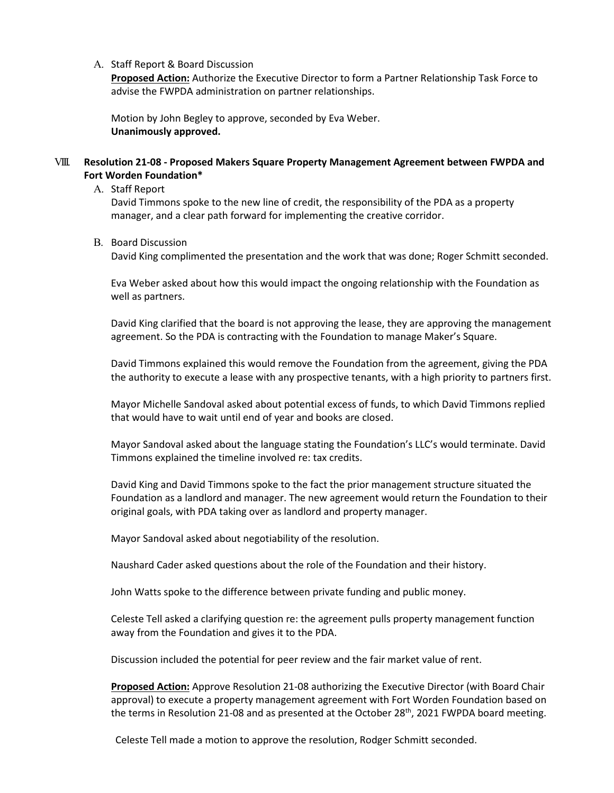#### A. Staff Report & Board Discussion

**Proposed Action:** Authorize the Executive Director to form a Partner Relationship Task Force to advise the FWPDA administration on partner relationships.

Motion by John Begley to approve, seconded by Eva Weber. **Unanimously approved.**

#### VIII. **Resolution 21-08 - Proposed Makers Square Property Management Agreement between FWPDA and Fort Worden Foundation\***

#### A. Staff Report

David Timmons spoke to the new line of credit, the responsibility of the PDA as a property manager, and a clear path forward for implementing the creative corridor.

#### B. Board Discussion

David King complimented the presentation and the work that was done; Roger Schmitt seconded.

Eva Weber asked about how this would impact the ongoing relationship with the Foundation as well as partners.

David King clarified that the board is not approving the lease, they are approving the management agreement. So the PDA is contracting with the Foundation to manage Maker's Square.

David Timmons explained this would remove the Foundation from the agreement, giving the PDA the authority to execute a lease with any prospective tenants, with a high priority to partners first.

Mayor Michelle Sandoval asked about potential excess of funds, to which David Timmons replied that would have to wait until end of year and books are closed.

Mayor Sandoval asked about the language stating the Foundation's LLC's would terminate. David Timmons explained the timeline involved re: tax credits.

David King and David Timmons spoke to the fact the prior management structure situated the Foundation as a landlord and manager. The new agreement would return the Foundation to their original goals, with PDA taking over as landlord and property manager.

Mayor Sandoval asked about negotiability of the resolution.

Naushard Cader asked questions about the role of the Foundation and their history.

John Watts spoke to the difference between private funding and public money.

Celeste Tell asked a clarifying question re: the agreement pulls property management function away from the Foundation and gives it to the PDA.

Discussion included the potential for peer review and the fair market value of rent.

**Proposed Action:** Approve Resolution 21-08 authorizing the Executive Director (with Board Chair approval) to execute a property management agreement with Fort Worden Foundation based on the terms in Resolution 21-08 and as presented at the October 28<sup>th</sup>, 2021 FWPDA board meeting.

Celeste Tell made a motion to approve the resolution, Rodger Schmitt seconded.